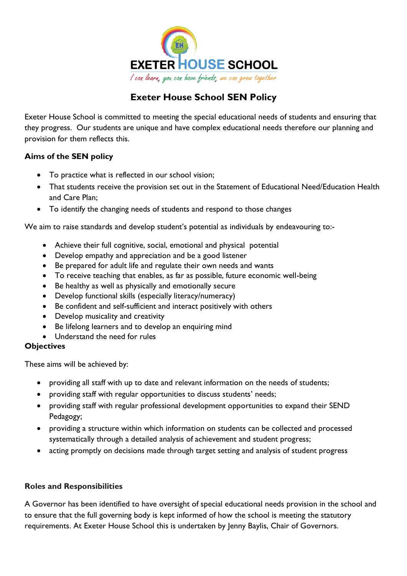

# **Exeter House School SEN Policy**

Exeter House School is committed to meeting the special educational needs of students and ensuring that they progress. Our students are unique and have complex educational needs therefore our planning and provision for them reflects this.

## **Aims of the SEN policy**

- To practice what is reflected in our school vision;
- That students receive the provision set out in the Statement of Educational Need/Education Health and Care Plan;
- To identify the changing needs of students and respond to those changes

We aim to raise standards and develop student's potential as individuals by endeavouring to:-

- Achieve their full cognitive, social, emotional and physical potential
- Develop empathy and appreciation and be a good listener
- Be prepared for adult life and regulate their own needs and wants
- To receive teaching that enables, as far as possible, future economic well-being
- Be healthy as well as physically and emotionally secure
- Develop functional skills (especially literacy/numeracy)
- Be confident and self-sufficient and interact positively with others
- Develop musicality and creativity
- Be lifelong learners and to develop an enquiring mind
- Understand the need for rules

## **Objectives**

These aims will be achieved by:

- providing all staff with up to date and relevant information on the needs of students;
- providing staff with regular opportunities to discuss students' needs;
- providing staff with regular professional development opportunities to expand their SEND Pedagogy;
- providing a structure within which information on students can be collected and processed systematically through a detailed analysis of achievement and student progress;
- acting promptly on decisions made through target setting and analysis of student progress

# **Roles and Responsibilities**

A Governor has been identified to have oversight of special educational needs provision in the school and to ensure that the full governing body is kept informed of how the school is meeting the statutory requirements. At Exeter House School this is undertaken by Jenny Baylis, Chair of Governors.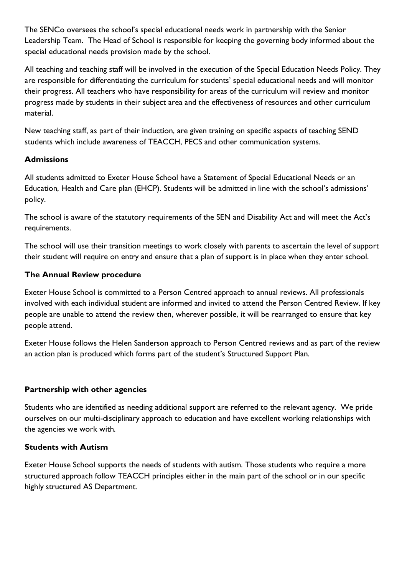The SENCo oversees the school's special educational needs work in partnership with the Senior Leadership Team. The Head of School is responsible for keeping the governing body informed about the special educational needs provision made by the school.

All teaching and teaching staff will be involved in the execution of the Special Education Needs Policy. They are responsible for differentiating the curriculum for students' special educational needs and will monitor their progress. All teachers who have responsibility for areas of the curriculum will review and monitor progress made by students in their subject area and the effectiveness of resources and other curriculum material.

New teaching staff, as part of their induction, are given training on specific aspects of teaching SEND students which include awareness of TEACCH, PECS and other communication systems.

## **Admissions**

All students admitted to Exeter House School have a Statement of Special Educational Needs or an Education, Health and Care plan (EHCP). Students will be admitted in line with the school's admissions' policy.

The school is aware of the statutory requirements of the SEN and Disability Act and will meet the Act's requirements.

The school will use their transition meetings to work closely with parents to ascertain the level of support their student will require on entry and ensure that a plan of support is in place when they enter school.

## **The Annual Review procedure**

Exeter House School is committed to a Person Centred approach to annual reviews. All professionals involved with each individual student are informed and invited to attend the Person Centred Review. If key people are unable to attend the review then, wherever possible, it will be rearranged to ensure that key people attend.

Exeter House follows the Helen Sanderson approach to Person Centred reviews and as part of the review an action plan is produced which forms part of the student's Structured Support Plan.

## **Partnership with other agencies**

Students who are identified as needing additional support are referred to the relevant agency. We pride ourselves on our multi-disciplinary approach to education and have excellent working relationships with the agencies we work with.

#### **Students with Autism**

Exeter House School supports the needs of students with autism. Those students who require a more structured approach follow TEACCH principles either in the main part of the school or in our specific highly structured AS Department.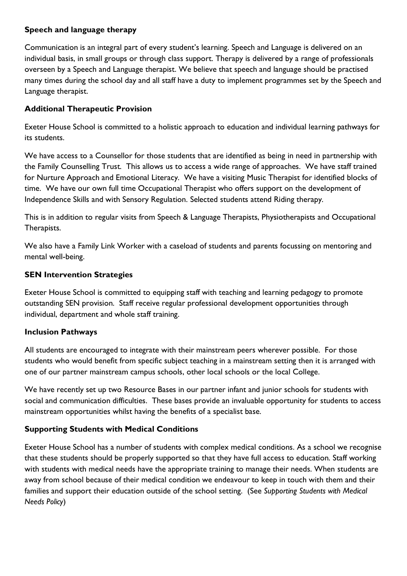#### **Speech and language therapy**

Communication is an integral part of every student's learning. Speech and Language is delivered on an individual basis, in small groups or through class support. Therapy is delivered by a range of professionals overseen by a Speech and Language therapist. We believe that speech and language should be practised many times during the school day and all staff have a duty to implement programmes set by the Speech and Language therapist.

## **Additional Therapeutic Provision**

Exeter House School is committed to a holistic approach to education and individual learning pathways for its students.

We have access to a Counsellor for those students that are identified as being in need in partnership with the Family Counselling Trust. This allows us to access a wide range of approaches. We have staff trained for Nurture Approach and Emotional Literacy. We have a visiting Music Therapist for identified blocks of time. We have our own full time Occupational Therapist who offers support on the development of Independence Skills and with Sensory Regulation. Selected students attend Riding therapy.

This is in addition to regular visits from Speech & Language Therapists, Physiotherapists and Occupational Therapists.

We also have a Family Link Worker with a caseload of students and parents focussing on mentoring and mental well-being.

#### **SEN Intervention Strategies**

Exeter House School is committed to equipping staff with teaching and learning pedagogy to promote outstanding SEN provision. Staff receive regular professional development opportunities through individual, department and whole staff training.

## **Inclusion Pathways**

All students are encouraged to integrate with their mainstream peers wherever possible. For those students who would benefit from specific subject teaching in a mainstream setting then it is arranged with one of our partner mainstream campus schools, other local schools or the local College.

We have recently set up two Resource Bases in our partner infant and junior schools for students with social and communication difficulties. These bases provide an invaluable opportunity for students to access mainstream opportunities whilst having the benefits of a specialist base.

## **Supporting Students with Medical Conditions**

Exeter House School has a number of students with complex medical conditions. As a school we recognise that these students should be properly supported so that they have full access to education. Staff working with students with medical needs have the appropriate training to manage their needs. When students are away from school because of their medical condition we endeavour to keep in touch with them and their families and support their education outside of the school setting. (See *Supporting Students with Medical Needs Policy*)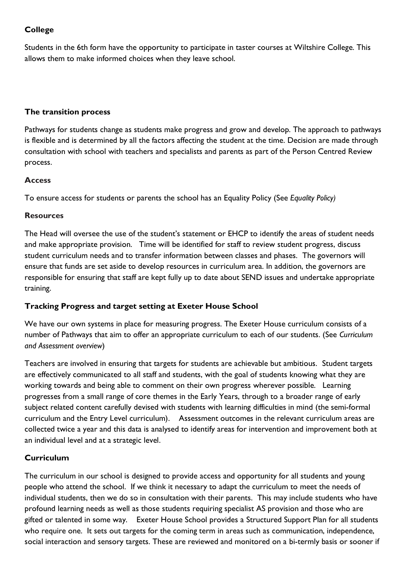## **College**

Students in the 6th form have the opportunity to participate in taster courses at Wiltshire College. This allows them to make informed choices when they leave school.

#### **The transition process**

Pathways for students change as students make progress and grow and develop. The approach to pathways is flexible and is determined by all the factors affecting the student at the time. Decision are made through consultation with school with teachers and specialists and parents as part of the Person Centred Review process.

#### **Access**

To ensure access for students or parents the school has an Equality Policy (See *Equality Policy)*

#### **Resources**

The Head will oversee the use of the student's statement or EHCP to identify the areas of student needs and make appropriate provision. Time will be identified for staff to review student progress, discuss student curriculum needs and to transfer information between classes and phases. The governors will ensure that funds are set aside to develop resources in curriculum area. In addition, the governors are responsible for ensuring that staff are kept fully up to date about SEND issues and undertake appropriate training.

## **Tracking Progress and target setting at Exeter House School**

We have our own systems in place for measuring progress. The Exeter House curriculum consists of a number of Pathways that aim to offer an appropriate curriculum to each of our students. (See *Curriculum and Assessment overview*)

Teachers are involved in ensuring that targets for students are achievable but ambitious. Student targets are effectively communicated to all staff and students, with the goal of students knowing what they are working towards and being able to comment on their own progress wherever possible. Learning progresses from a small range of core themes in the Early Years, through to a broader range of early subject related content carefully devised with students with learning difficulties in mind (the semi-formal curriculum and the Entry Level curriculum). Assessment outcomes in the relevant curriculum areas are collected twice a year and this data is analysed to identify areas for intervention and improvement both at an individual level and at a strategic level.

## **Curriculum**

The curriculum in our school is designed to provide access and opportunity for all students and young people who attend the school. If we think it necessary to adapt the curriculum to meet the needs of individual students, then we do so in consultation with their parents. This may include students who have profound learning needs as well as those students requiring specialist AS provision and those who are gifted or talented in some way. Exeter House School provides a Structured Support Plan for all students who require one. It sets out targets for the coming term in areas such as communication, independence, social interaction and sensory targets. These are reviewed and monitored on a bi-termly basis or sooner if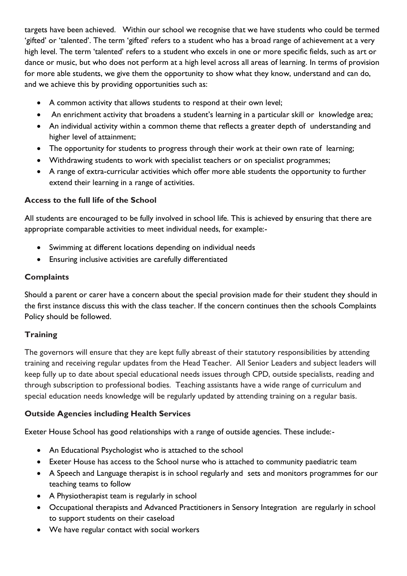targets have been achieved. Within our school we recognise that we have students who could be termed 'gifted' or 'talented'. The term 'gifted' refers to a student who has a broad range of achievement at a very high level. The term 'talented' refers to a student who excels in one or more specific fields, such as art or dance or music, but who does not perform at a high level across all areas of learning. In terms of provision for more able students, we give them the opportunity to show what they know, understand and can do, and we achieve this by providing opportunities such as:

- A common activity that allows students to respond at their own level;
- An enrichment activity that broadens a student's learning in a particular skill or knowledge area;
- An individual activity within a common theme that reflects a greater depth of understanding and higher level of attainment;
- The opportunity for students to progress through their work at their own rate of learning;
- Withdrawing students to work with specialist teachers or on specialist programmes;
- A range of extra-curricular activities which offer more able students the opportunity to further extend their learning in a range of activities.

#### **Access to the full life of the School**

All students are encouraged to be fully involved in school life. This is achieved by ensuring that there are appropriate comparable activities to meet individual needs, for example:-

- Swimming at different locations depending on individual needs
- Ensuring inclusive activities are carefully differentiated

#### **Complaints**

Should a parent or carer have a concern about the special provision made for their student they should in the first instance discuss this with the class teacher. If the concern continues then the schools Complaints Policy should be followed.

#### **Training**

The governors will ensure that they are kept fully abreast of their statutory responsibilities by attending training and receiving regular updates from the Head Teacher. All Senior Leaders and subject leaders will keep fully up to date about special educational needs issues through CPD, outside specialists, reading and through subscription to professional bodies. Teaching assistants have a wide range of curriculum and special education needs knowledge will be regularly updated by attending training on a regular basis.

#### **Outside Agencies including Health Services**

Exeter House School has good relationships with a range of outside agencies. These include:-

- An Educational Psychologist who is attached to the school
- Exeter House has access to the School nurse who is attached to community paediatric team
- A Speech and Language therapist is in school regularly and sets and monitors programmes for our teaching teams to follow
- A Physiotherapist team is regularly in school
- Occupational therapists and Advanced Practitioners in Sensory Integration are regularly in school to support students on their caseload
- We have regular contact with social workers